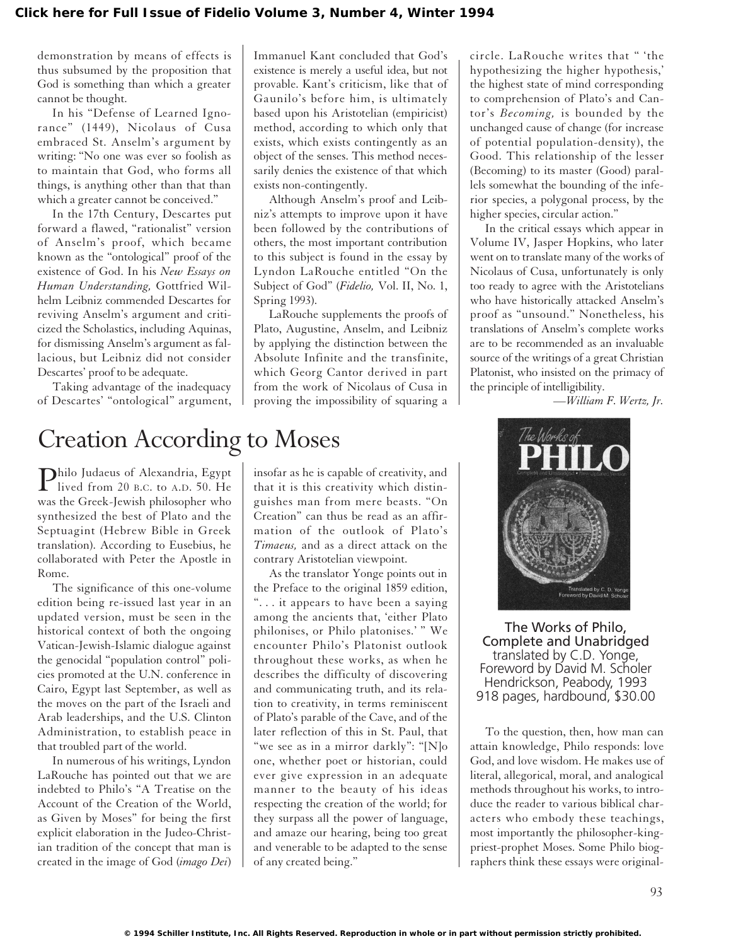demonstration by means of effects is thus subsumed by the proposition that God is something than which a greater cannot be thought.

In his "Defense of Learned Ignorance" (1449), Nicolaus of Cusa embraced St. Anselm's argument by writing: "No one was ever so foolish as to maintain that God, who forms all things, is anything other than that than which a greater cannot be conceived."

In the 17th Century, Descartes put forward a flawed, "rationalist" version of Anselm's proof, which became known as the "ontological" proof of the existence of God. In his *New Essays on Human Understanding,* Gottfried Wilhelm Leibniz commended Descartes for reviving Anselm's argument and criticized the Scholastics, including Aquinas, for dismissing Anselm's argument as fallacious, but Leibniz did not consider Descartes' proof to be adequate.

Taking advantage of the inadequacy of Descartes' "ontological" argument,

Creation According to Moses

Philo Judaeus of Alexandria, Egypt<br>lived from 20 B.C. to A.D. 50. He was the Greek-Jewish philosopher who synthesized the best of Plato and the Septuagint (Hebrew Bible in Greek translation). According to Eusebius, he collaborated with Peter the Apostle in Rome.

The significance of this one-volume edition being re-issued last year in an updated version, must be seen in the historical context of both the ongoing Vatican-Jewish-Islamic dialogue against the genocidal "population control" policies promoted at the U.N. conference in Cairo, Egypt last September, as well as the moves on the part of the Israeli and Arab leaderships, and the U.S. Clinton Administration, to establish peace in that troubled part of the world.

In numerous of his writings, Lyndon LaRouche has pointed out that we are indebted to Philo's "A Treatise on the Account of the Creation of the World, as Given by Moses" for being the first explicit elaboration in the Judeo-Christian tradition of the concept that man is created in the image of God (*imago Dei*)

Immanuel Kant concluded that God's existence is merely a useful idea, but not provable. Kant's criticism, like that of Gaunilo's before him, is ultimately based upon his Aristotelian (empiricist) method, according to which only that exists, which exists contingently as an object of the senses. This method necessarily denies the existence of that which exists non-contingently.

Although Anselm's proof and Leibniz's attempts to improve upon it have been followed by the contributions of others, the most important contribution to this subject is found in the essay by Lyndon LaRouche entitled "On the Subject of God" (*Fidelio,* Vol. II, No. 1, Spring 1993).

LaRouche supplements the proofs of Plato, Augustine, Anselm, and Leibniz by applying the distinction between the Absolute Infinite and the transfinite, which Georg Cantor derived in part from the work of Nicolaus of Cusa in proving the impossibility of squaring a

circle. LaRouche writes that " 'the hypothesizing the higher hypothesis,' the highest state of mind corresponding to comprehension of Plato's and Cantor's *Becoming,* is bounded by the unchanged cause of change (for increase of potential population-density), the Good. This relationship of the lesser (Becoming) to its master (Good) parallels somewhat the bounding of the inferior species, a polygonal process, by the higher species, circular action."

In the critical essays which appear in Volume IV, Jasper Hopkins, who later went on to translate many of the works of Nicolaus of Cusa, unfortunately is only too ready to agree with the Aristotelians who have historically attacked Anselm's proof as "unsound." Nonetheless, his translations of Anselm's complete works are to be recommended as an invaluable source of the writings of a great Christian Platonist, who insisted on the primacy of the principle of intelligibility.

*—William F. Wertz, Jr.*



The Works of Philo, Complete and Unabridged translated by C.D. Yonge, Foreword by David M. Scholer Hendrickson, Peabody, 1993 918 pages, hardbound, \$30.00

To the question, then, how man can attain knowledge, Philo responds: love God, and love wisdom. He makes use of literal, allegorical, moral, and analogical methods throughout his works, to introduce the reader to various biblical characters who embody these teachings, most importantly the philosopher-kingpriest-prophet Moses. Some Philo biographers think these essays were original-

insofar as he is capable of creativity, and that it is this creativity which distinguishes man from mere beasts. "On Creation" can thus be read as an affirmation of the outlook of Plato's *Timaeus,* and as a direct attack on the contrary Aristotelian viewpoint.

As the translator Yonge points out in the Preface to the original 1859 edition, ". . . it appears to have been a saying among the ancients that, 'either Plato philonises, or Philo platonises.' " We encounter Philo's Platonist outlook throughout these works, as when he describes the difficulty of discovering and communicating truth, and its relation to creativity, in terms reminiscent of Plato's parable of the Cave, and of the later reflection of this in St. Paul, that "we see as in a mirror darkly": "[N]o one, whether poet or historian, could ever give expression in an adequate manner to the beauty of his ideas respecting the creation of the world; for they surpass all the power of language, and amaze our hearing, being too great and venerable to be adapted to the sense of any created being."